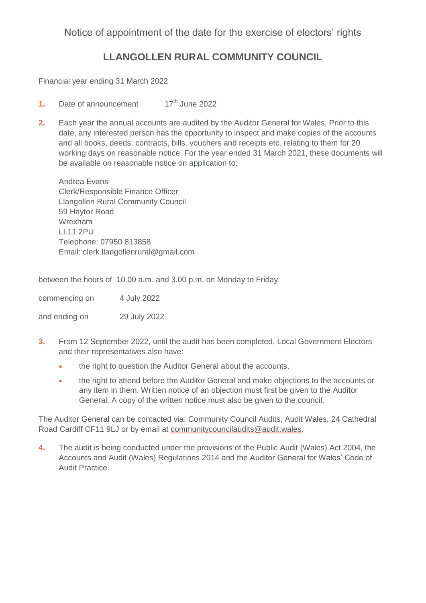### Notice of appointment of the date for the exercise of electors' rights

## **LLANGOLLEN RURAL COMMUNITY COUNCIL**

Financial year ending 31 March 2022

- **1.** Date of announcement 17<sup>th</sup> June 2022
- **2.** Each year the annual accounts are audited by the Auditor General for Wales. Prior to this date, any interested person has the opportunity to inspect and make copies of the accounts and all books, deeds, contracts, bills, vouchers and receipts etc. relating to them for 20 working days on reasonable notice. For the year ended 31 March 2021, these documents will be available on reasonable notice on application to:

Andrea Evans Clerk/Responsible Finance Officer Llangollen Rural Community Council 59 Haytor Road Wrexham LL11 2PU Telephone: 07950 813858 Email: clerk.llangollenrural@gmail.com

between the hours of 10.00 a.m. and 3.00 p.m. on Monday to Friday

commencing on 4 July 2022

and ending on 29 July 2022

- **3.** From 12 September 2022, until the audit has been completed, Local Government Electors and their representatives also have:
	- the right to question the Auditor General about the accounts.
	- the right to attend before the Auditor General and make objections to the accounts or any item in them. Written notice of an objection must first be given to the Auditor General. A copy of the written notice must also be given to the council.

The Auditor General can be contacted via: Community Council Audits, Audit Wales, 24 Cathedral Road Cardiff CF11 9LJ or by email at [communitycouncilaudits@audit.wales.](mailto:communitycouncilaudits@audit.wales)

**4.** The audit is being conducted under the provisions of the Public Audit (Wales) Act 2004, the Accounts and Audit (Wales) Regulations 2014 and the Auditor General for Wales' Code of Audit Practice.